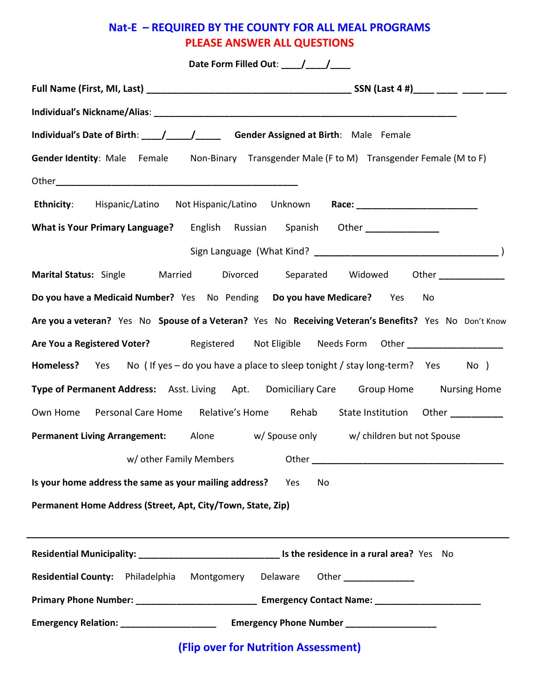## Nat-E – REQUIRED BY THE COUNTY FOR ALL MEAL PROGRAMS PLEASE ANSWER ALL QUESTIONS

| Date Form Filled Out: /////                                                                           |
|-------------------------------------------------------------------------------------------------------|
|                                                                                                       |
|                                                                                                       |
| Individual's Date of Birth: ___/____/______ Gender Assigned at Birth: Male Female                     |
| <b>Gender Identity</b> : Male Female Non-Binary Transgender Male (F to M) Transgender Female (M to F) |
|                                                                                                       |
| Ethnicity: Hispanic/Latino Not Hispanic/Latino Unknown Race: ___________________                      |
| What is Your Primary Language? English Russian Spanish Other ______________                           |
|                                                                                                       |
| Marital Status: Single Married Divorced Separated Widowed Other ____________                          |
| Do you have a Medicaid Number? Yes No Pending Do you have Medicare? Yes No                            |
| Are you a veteran? Yes No Spouse of a Veteran? Yes No Receiving Veteran's Benefits? Yes No Don't Know |
| Are You a Registered Voter? The Registered Not Eligible Needs Form Other ____________________         |
| Homeless? Yes No (If yes - do you have a place to sleep tonight / stay long-term? Yes No )            |
| Type of Permanent Address: Asst. Living Apt. Domiciliary Care Group Home Nursing Home                 |
| Own Home Personal Care Home Relative's Home Rehab State Institution Other __________                  |
| <b>Permanent Living Arrangement:</b> Alone w/Spouse only w/children but not Spouse                    |
| w/ other Family Members                                                                               |
| Is your home address the same as your mailing address?<br>Yes<br>No                                   |
| Permanent Home Address (Street, Apt, City/Town, State, Zip)                                           |
|                                                                                                       |
|                                                                                                       |
| Residential County: Philadelphia<br>Montgomery Delaware Other                                         |
|                                                                                                       |
|                                                                                                       |
| (Flip over for Nutrition Assessment)                                                                  |